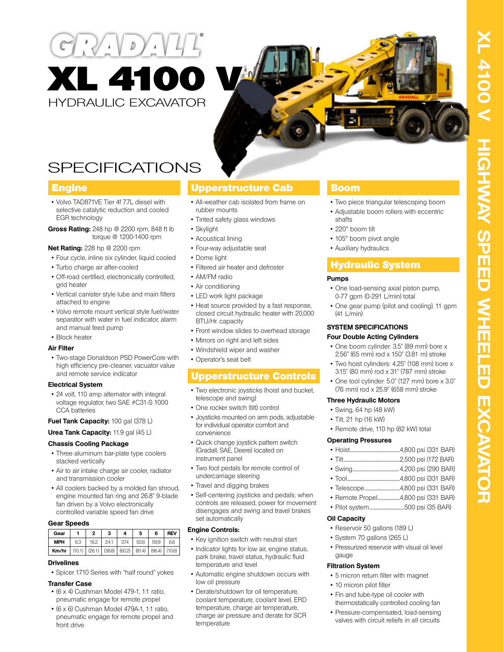



# SPECIFICATIONS

### **Engine**

- Volvo TAD871VE Tier 4f 7.7L diesel with selective catalytic reduction and cooled EGR technology
- **Gross Rating:** 248 hp @ 2200 rpm, 848 ft lb torque @ 1200-1400 rpm

#### **Net Rating:** 228 hp @ 2200 rpm

- Four cycle, inline six cylinder, liquid cooled
- Turbo charge air after-cooled
- Off-road certified, electronically controlled, grid heater
- Vertical canister style lube and main filters attached to engine
- Volvo remote mount vertical style fuel/water separator with water in fuel indicator, alarm and manual feed pump
- Block heater

#### **Air Filter**

• Two-stage Donaldson PSD PowerCore with high efficiency pre-cleaner, vacuator value and remote service indicator

#### **Electrical System**

• 24 volt, 110 amp alternator with integral voltage regulator, two SAE #C31-S 1000 CCA batteries

#### **Fuel Tank Capacity:** 100 gal (378 L)

### **Urea Tank Capacity:** 11.9 gal (45 L)

#### **Chassis Cooling Package**

- Three aluminum bar-plate type coolers stacked vertically
- Air to air intake charge air cooler, radiator and transmission cooler
- All coolers backed by a molded fan shroud, engine mounted fan ring and 26.8" 9-blade fan driven by a Volvo electronically controlled variable speed fan drive

#### **Gear Speeds**

| Gear       |       | 2    | 3    | 4                                   | 5    | 6      | <b>REV</b> |
|------------|-------|------|------|-------------------------------------|------|--------|------------|
| <b>MPH</b> | 6.3   | 16.2 | 24.1 | 37.4                                | 50.6 | 59.9   | 66         |
| Km/hr      | (101) |      |      | $(26.1)$ $(38.8)$ $(60.2)$ $(81.4)$ |      | (96.4) | (10.6)     |

#### **Drivelines**

• Spicer 1710 Series with "half round" yokes

#### **Transfer Case**

- (6 x 4) Cushman Model 479-1, 1:1 ratio, pneumatic engage for remote propel
- (6 x 6) Cushman Model 479A-1, 1:1 ratio, pneumatic engage for remote propel and front drive

# Upperstructure Cab

- All-weather cab isolated from frame on rubber mounts
- Tinted safety glass windows
- Skylight
- Acoustical lining
- Four-way adjustable seat
- Dome light
- Filtered air heater and defroster
- AM/FM radio
- Air conditioning
- LED work light package
- Heat source provided by a fast response, closed circuit hydraulic heater with 20,000 BTU/Hr. capacity
- Front window slides to overhead storage
- Mirrors on right and left sides
- Windshield wiper and washer
- Operator's seat belt

# Upperstructure Controls

- Two electronic joysticks (hoist and bucket, telescope and swing)
- One rocker switch (tilt) control
- Joysticks mounted on arm pods, adjustable for individual operator comfort and convenience
- Quick change joystick pattern switch (Gradall, SAE, Deere) located on instrument panel
- Two foot pedals for remote control of undercarriage steering
- Travel and digging brakes
- Self-centering joysticks and pedals; when controls are released, power for movement disengages and swing and travel brakes set automatically

#### **Engine Controls:**

- Key ignition switch with neutral start
- Indicator lights for low air, engine status, park brake, travel status, hydraulic fluid temperature and level
- Automatic engine shutdown occurs with low oil pressure
- Derate/shutdown for oil temperature, coolant temperature, coolant level, ERD temperature, charge air temperature, charge air pressure and derate for SCR temperature

### Boom

- Two piece triangular telescoping boom
- Adjustable boom rollers with eccentric shafts
- 220° boom tilt
- 105° boom pivot angle
- Auxiliary hydraulics

# Hydraulic System

#### **Pumps**

- One load-sensing axial piston pump, 0-77 gpm (0-291 L/min) total
- One gear pump (pilot and cooling), 11 gpm  $(41 + /min)$

#### **SYSTEM SPECIFICATIONS Four Double Acting Cylinders**

- One boom cylinder: 3.5" (89 mm) bore x 2.56" (65 mm) rod x 150" (3.81 m) stroke
- Two hoist cylinders: 4.25" (108 mm) bore x 3.15" (80 mm) rod x 31" (787 mm) stroke
- One tool cylinder: 5.0" (127 mm) bore x 3.0" (76 mm) rod x 25.9" (658 mm) stroke

#### **Three Hydraulic Motors**

- Swing, 64 hp (48 kW)
- Tilt, 21 hp (16 kW)
- Remote drive, 110 hp (82 kW) total

#### **Operating Pressures**

- Hoist......................................................4,800 psi (331 BAR)
- Tilt.............................................................2,500 psi (172 BAR)
- Swing..................................................4,200 psi (290 BAR)
- Tool.........................................................4,800 psi (331 BAR)
- Telescope......................................4,800 psi (331 BAR)
- Remote Propel........................4,800 psi (331 BAR)
- Pilot system......................................500 psi (35 BAR)

#### **Oil Capacity**

- Reservoir 50 gallons (189 L)
- System 70 gallons (265 L)
- Pressurized reservoir with visual oil level gauge

#### **Filtration System**

- 5 micron return filter with magnet
- 10 micron pilot filter
- Fin and tube-type oil cooler with thermostatically controlled cooling fan
- Pressure-compensated, load-sensing valves with circuit reliefs in all circuits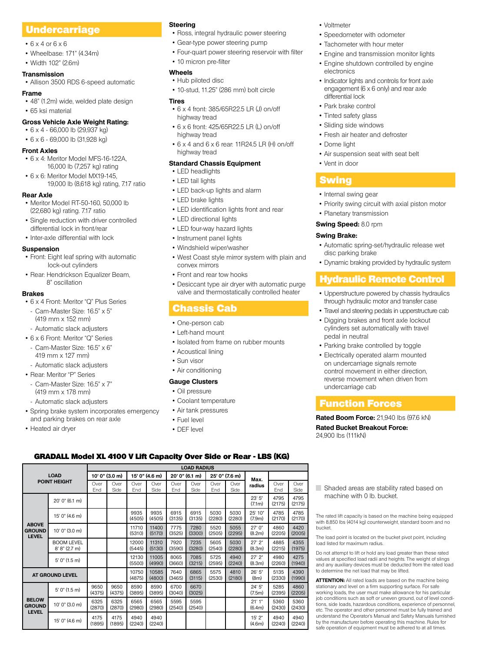# Undercarriage

- 6 x 4 or 6 x 6
- Wheelbase: 171" (4.34m)
- Width 102" (2.6m)

#### **Transmission**

• Allison 3500 RDS 6-speed automatic

#### **Frame**

• 48" (1.2m) wide, welded plate design

• 65 ksi material

#### **Gross Vehicle Axle Weight Rating:**

• 6 x 4 - 66,000 lb (29,937 kg) • 6 x 6 - 69,000 lb (31,928 kg)

#### **Front Axles**

- 6 x 4: Meritor Model MFS-16-122A, 16,000 lb (7,257 kg) rating
- 6 x 6: Meritor Model MX19-145, 19,000 lb (8,618 kg) rating, 7.17 ratio

#### **Rear Axle**

- Meritor Model RT-50-160, 50,000 lb (22,680 kg) rating. 7.17 ratio
- Single reduction with driver controlled differential lock in front/rear
- Inter-axle differential with lock

#### **Suspension**

- Front: Eight leaf spring with automatic lock-out cylinders
- Rear: Hendrickson Equalizer Beam, 8" oscillation

#### **Brakes**

- 6 x 4 Front: Meritor "Q" Plus Series - Cam-Master Size: 16.5" x 5"
- (419 mm x 152 mm)
- Automatic slack adjusters
- 6 x 6 Front: Meritor "Q" Series Cam-Master Size: 16.5" x 6"
- 419 mm x 127 mm)
- Automatic slack adjusters • Rear: Meritor "P" Series
- Cam-Master Size: 16.5" x 7"
- (419 mm x 178 mm)
- Automatic slack adjusters
- Spring brake system incorporates emergency and parking brakes on rear axle

Ove Side

15' 0" (4.6 m) <sup>9935</sup>

10' 0" (3.0 m) 11710

5' 0" (1.5 m) <sup>12130</sup>

(4375)

(2870)

(1895)

9650 (4375)

6325 (2870)

4175 (1895)

**AT GROUND LEVEL 10750** 

5' 0" (1.5 m) 9650

10' 0" (3.0 m) 6325

 $15'$  0" (4.6 m) 4175

Over End

(4505)

(5310)

12000 (5445)

(5500)

(4875)

8590 (3895)

6565 (2980)

4940 (2240)

• Heated air dryer

**LOAD POINT HEIGHT**

> BOOM LEVEL 8' 8" (2.7 m)

**ABOVE GROUND LEVEL**

**BELOW GROUND LEVEL**

#### **Steering**

- Ross, integral hydraulic power steering
- Gear-type power steering pump
- Four-quart power steering reservoir with filter
- 10 micron pre-filter

#### **Wheels**

• Hub piloted disc • 10-stud, 11.25" (286 mm) bolt circle

#### **Tires**

- 6 x 4 front: 385/65R22.5 LR (J) on/off highway tread
- 6 x 6 front: 425/65R22.5 LR (L) on/off highway tread
- 6 x 4 and 6 x 6 rear: 11R24.5 LR (H) on/off highway tread

### **Standard Chassis Equipment**

- LED headlights
- LED tail lights
- LED back-up lights and alarm
- LED brake lights
- LED identification lights front and rear
- LED directional lights
- LED four-way hazard lights
- Instrument panel lights
- Windshield wiper/washer
- West Coast style mirror system with plain and convex mirrors
- Front and rear tow hooks
- Desiccant type air dryer with automatic purge valve and thermostatically controlled heater

# Chassis Cab

- One-person cab
- Left-hand mount
- Isolated from frame on rubber mounts
- Acoustical lining
- Sun visor
- Air conditioning

### **Gauge Clusters**

#### • Oil pressure

- Coolant temperature
- Air tank pressures

**LOAD RADIUS**

Ove Side

6915 (3135)

7280 (3300)

7235 (3280)

7085  $(3215)$ 

6865 (3115)

6670 (3025)

5595  $(2540)$  Over End

5030  $(2280)$ 

5520 (2505)

5605 (2540)

5725 (2595)

5575 (2530) Over Side

5030 (2280)

5055 (2295)

5030  $(2280)$ 

4940 (2240)

4810 (2180) Over End

4795 (2175)

4785 (2170)

4860 (2205)

4885  $(2215)$ 

4980 (2260)

5135 (2330)

5285 (2395)

5360 (2430)

4940 (2240)

(7.1m)

25' 10" (7.9m)

27' 0" (8.2m)

27' 2"  $(8.3m)$ 

27' 2" (8.3m)

26' 5" (8m)

24' 5"  $(7.5m)$ 

21' 1"  $(6.4m)$ 

15' 2"  $(4.6m)$  Over Side

4795 (2175)

4785 (2170)

4420 (2005)

4355  $(1975)$ 

4275 (1940)

4390 (1990)

4860  $(2205)$ 

5360 (2430)

4940  $(2240)$ 

- Fuel level
- DEF level

**10' 0" (3.0 m) 15' 0" (4.6 m) 20' 0" (6.1 m) 25' 0" (7.6 m) Max.** Over **radius** End

Over End

6915 (3135)

7775 (3525)

7920 (3590)

8065 (3660)

7640 (3465)

6700  $(3010)$ 

5595  $(2540)$ 

#### • Voltmeter

- Speedometer with odometer
- Tachometer with hour meter
- Engine and transmission monitor lights
- Engine shutdown controlled by engine electronics
- Indicator lights and controls for front axle engagement (6 x 6 only) and rear axle differential lock
- Park brake control
- Tinted safety glass
- Sliding side windows
- Fresh air heater and defroster
- Dome light
- Air suspension seat with seat belt
- Vent in door

### **Swing**

- Internal swing gear
- Priority swing circuit with axial piston motor
- Planetary transmission

#### **Swing Speed:** 8.0 rpm

#### **Swing Brake:**

- Automatic spring-set/hydraulic release wet disc parking brake
- Dynamic braking provided by hydraulic system

# Hydraulic Remote Control

- Upperstructure powered by chassis hydraulics through hydraulic motor and transfer case
- Travel and steering pedals in upperstructure cab
- Digging brakes and front axle lockout cylinders set automatically with travel pedal in neutral
- Parking brake controlled by toggle
- Electrically operated alarm mounted on undercarriage signals remote control movement in either direction, reverse movement when driven from undercarriage cab

### Function Forces

bucket.

load listed for maximum radius.

to determine the net load that may be lifted.

machine with 0 lb. bucket.

**Rated Boom Force:** 21,940 lbs (97.6 kN) **Rated Bucket Breakout Force:**  24,900 lbs (111kN)

The rated lift capacity is based on the machine being equipped with 8,850 lbs (4014 kg) counterweight, standard boom and no

Shaded areas are stability rated based on

The load point is located on the bucket pivot point, including

Do not attempt to lift or hold any load greater than these rated values at specified load radii and heights. The weight of slings and any auxiliary devices must be deducted from the rated load

**ATTENTION:** All rated loads are based on the machine being stationary and level on a firm supporting surface. For safe working loads, the user must make allowance for his particular job conditions such as soft or uneven ground, out of level conditions, side loads, hazardous conditions, experience of personnel, etc. The operator and other personnel must be fully trained and understand the Operator's Manual and Safety Manuals furnished by the manufacturer before operating this machine. Rules for safe operation of equipment must be adhered to at all times.

### GRADALL Model XL 4100 V Lift Capacity Over Side or Rear - LBS (KG)

Over Side

 $20' 0'' (6.1 m)$  23' 5"

9935 (4505)

11400 (5170)

11310 (5130)

11005 (4990)

10585 (4800)

8590 (3895)

6565 (2980)

4940  $(2240)$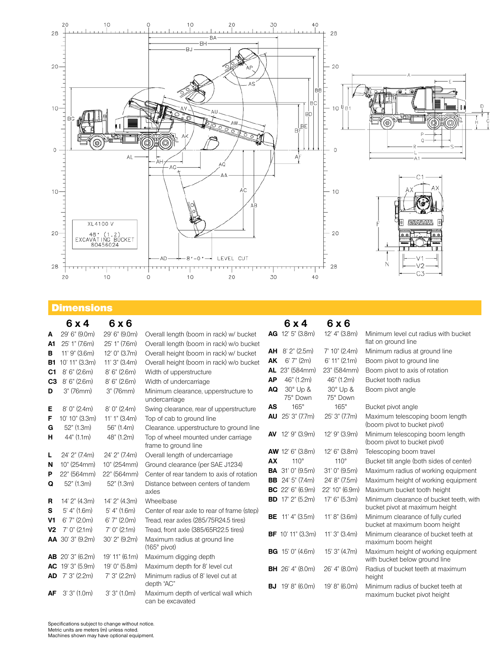

# **Dimensions**

|                | 6x4                                       | 6x6                             |                                                                                          |           | 6x4                          | 6x6                         |                                                                           |
|----------------|-------------------------------------------|---------------------------------|------------------------------------------------------------------------------------------|-----------|------------------------------|-----------------------------|---------------------------------------------------------------------------|
| A              | 29' 6" (9.0m)                             | 29' 6" (9.0m)                   | Overall length (boom in rack) w/ bucket                                                  |           | AG 12' 5" (3.8m)             | 12' 4" (3.8m)               | Minimum level cut radius with bucket                                      |
| A1.            | 25' 1" (7.6m)                             | 25' 1" (7.6m)                   | Overall length (boom in rack) w/o bucket                                                 |           |                              |                             | flat on ground line                                                       |
| в              | 11' 9" (3.6m)                             | 12' 0" (3.7m)                   | Overall height (boom in rack) w/ bucket                                                  |           | <b>AH</b> $8'$ $2''$ (2.5m)  | 7'10''(2.4m)                | Minimum radius at ground line                                             |
| B1             | 10' 11" (3.3m)                            | 11' 3" (3.4m)                   | Overall height (boom in rack) w/o bucket                                                 | <b>AK</b> | 6'7''(2m)                    | $6'$ 11" (2.1m)             | Boom pivot to ground line                                                 |
| C1             | 8'6''(2.6m)                               | 8'6'' (2.6m)                    | Width of upperstructure                                                                  |           | AL 23" (584mm)               | 23" (584mm)                 | Boom pivot to axis of rotation                                            |
| C <sub>3</sub> | 8'6'' (2.6m)                              | 8'6'' (2.6m)                    | Width of undercarriage                                                                   | AP        | 46" (1.2m)                   | 46" (1.2m)                  | Bucket tooth radius                                                       |
| D              | 3" (76mm)                                 | 3" (76mm)                       | Minimum clearance, upperstructure to<br>undercarriage                                    | AQ        | $30^\circ$ Up &<br>75° Down  | $30^\circ$ Up &<br>75° Down | Boom pivot angle                                                          |
| Е              | 8'0''(2.4m)                               | 8'0''(2.4m)                     | Swing clearance, rear of upperstructure                                                  | <b>AS</b> | $165^\circ$                  | $165^\circ$                 | Bucket pivot angle                                                        |
| F<br>G         | 10' 10" (3.3m)<br>52" (1.3m)              | $11'1''$ (3.4m)<br>56" (1.4m)   | Top of cab to ground line<br>Clearance, upperstructure to ground line                    | <b>AU</b> | 25' 3" (7.7m)                | 25' 3" (7.7m)               | Maximum telescoping boom length<br>(boom pivot to bucket pivot)           |
| н              | 44" (1.1m)                                | 48" (1.2m)                      | Top of wheel mounted under carriage<br>frame to ground line                              |           | <b>AV</b> 12' 9" (3.9m)      | 12' 9" (3.9m)               | Minimum telescoping boom length<br>(boom pivot to bucket pivot)           |
| L              | 24' 2" (7.4m)                             | 24' 2" (7.4m)                   | Overall length of undercarriage                                                          |           | <b>AW</b> 12' 6" $(3.8m)$    | 12' 6" (3.8m)               | Telescoping boom travel                                                   |
| N              | 10" (254mm)                               | 10" (254mm)                     | Ground clearance (per SAE J1234)                                                         | AX        | $110^\circ$                  | $110^\circ$                 | Bucket tilt angle (both sides of center)                                  |
| P              | 22" (564mm)                               | 22" (564mm)                     | Center of rear tandem to axis of rotation                                                |           | <b>BA</b> 31' 0" (9.5m)      | 31' 0" (9.5m)               | Maximum radius of working equipment                                       |
| Q              | 52" (1.3m)                                | 52" (1.3m)                      | Distance between centers of tandem                                                       |           | <b>BB</b> $24'5''$ (7.4m)    | 24' 8" (7.5m)               | Maximum height of working equipment                                       |
|                |                                           |                                 | axles                                                                                    |           | <b>BC</b> 22' 6" (6.9m)      | 22' 10" (6.9m)              | Maximum bucket tooth height                                               |
| R              | 14' 2" (4.3m)                             | 14' 2" (4.3m)                   | Wheelbase                                                                                |           | <b>BD</b> $17'$ $2''$ (5.2m) | 17' 6" (5.3m)               | Minimum clearance of bucket teeth, with<br>bucket pivot at maximum height |
| s<br>V1        | $5'$ 4" (1.6m)<br>6'7'' (2.0m)            | $5'$ 4" (1.6m)<br>6'7'' (2.0m)  | Center of rear axle to rear of frame (step)<br>Tread, rear axles (285/75R24.5 tires)     |           | <b>BE</b> 11' 4" (3.5m)      | 11' 8" (3.6m)               | Minimum clearance of fully curled<br>bucket at maximum boom height        |
| <b>V2</b>      | $7'$ 0" (2.1m)<br><b>AA</b> 30' 3" (9.2m) | $7'$ 0" (2.1m)<br>30' 2" (9.2m) | Tread, front axle (385/65R22.5 tires)<br>Maximum radius at ground line<br>$(165°$ pivot) |           | <b>BF</b> 10' 11" (3.3m)     | 11' 3" (3.4m)               | Minimum clearance of bucket teeth at<br>maximum boom height               |
|                | <b>AB</b> 20' 3" (6.2m)                   | 19' 11" (6.1m)                  | Maximum digging depth                                                                    |           | <b>BG</b> $15'$ 0" (4.6m)    | 15' 3" (4.7m)               | Maximum height of working equipment<br>with bucket below ground line      |
| AC.            | 19' 3" (5.9m)<br>AD 7'3" (2.2m)           | 19' 0" (5.8m)<br>7'3'' (2.2m)   | Maximum depth for 8' level cut<br>Minimum radius of 8' level cut at                      |           | <b>BH</b> 26' 4" (8.0m)      | 26' 4" (8.0m)               | Radius of bucket teeth at maximum<br>height                               |
|                |                                           |                                 | depth "AC"                                                                               |           | <b>BJ</b> 19' 8" (6.0m)      | 19' 8" (6.0m)               | Minimum radius of bucket teeth at                                         |
| AF             | 3'3''(1.0m)                               | 3'3''(1.0m)                     | Maximum depth of vertical wall which<br>can be excavated                                 |           |                              |                             | maximum bucket pivot height                                               |